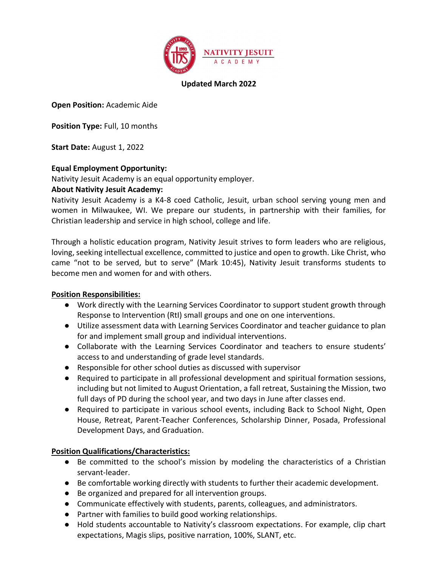

## Updated March 2022

Open Position: Academic Aide

Position Type: Full, 10 months

Start Date: August 1, 2022

## Equal Employment Opportunity:

Nativity Jesuit Academy is an equal opportunity employer.

## About Nativity Jesuit Academy:

Nativity Jesuit Academy is a K4-8 coed Catholic, Jesuit, urban school serving young men and women in Milwaukee, WI. We prepare our students, in partnership with their families, for Christian leadership and service in high school, college and life.

Through a holistic education program, Nativity Jesuit strives to form leaders who are religious, loving, seeking intellectual excellence, committed to justice and open to growth. Like Christ, who came "not to be served, but to serve" (Mark 10:45), Nativity Jesuit transforms students to become men and women for and with others.

#### Position Responsibilities:

- Work directly with the Learning Services Coordinator to support student growth through Response to Intervention (RtI) small groups and one on one interventions.
- Utilize assessment data with Learning Services Coordinator and teacher guidance to plan for and implement small group and individual interventions.
- Collaborate with the Learning Services Coordinator and teachers to ensure students' access to and understanding of grade level standards.
- Responsible for other school duties as discussed with supervisor
- Required to participate in all professional development and spiritual formation sessions, including but not limited to August Orientation, a fall retreat, Sustaining the Mission, two full days of PD during the school year, and two days in June after classes end.
- Required to participate in various school events, including Back to School Night, Open House, Retreat, Parent-Teacher Conferences, Scholarship Dinner, Posada, Professional Development Days, and Graduation.

# Position Qualifications/Characteristics:

- Be committed to the school's mission by modeling the characteristics of a Christian servant-leader.
- Be comfortable working directly with students to further their academic development.
- Be organized and prepared for all intervention groups.
- Communicate effectively with students, parents, colleagues, and administrators.
- Partner with families to build good working relationships.
- Hold students accountable to Nativity's classroom expectations. For example, clip chart expectations, Magis slips, positive narration, 100%, SLANT, etc.